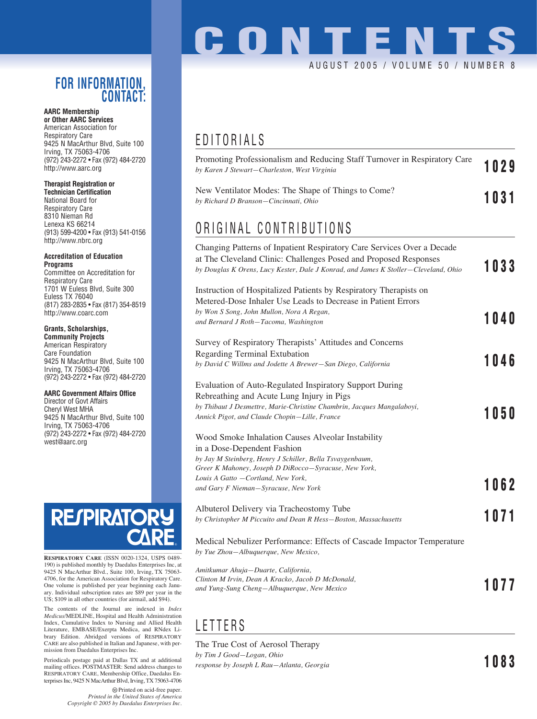### **FOR INFORMATION, CONTACT:**

#### **AARC Membership or Other AARC Services**

American Association for Respiratory Care 9425 N MacArthur Blvd, Suite 100 Irving, TX 75063-4706 (972) 243-2272 • Fax (972) 484-2720 http://www.aarc.org

#### **Therapist Registration or**

**Technician Certification** National Board for Respiratory Care 8310 Nieman Rd Lenexa KS 66214 (913) 599-4200 • Fax (913) 541-0156 http://www.nbrc.org

#### **Accreditation of Education Programs**

Committee on Accreditation for Respiratory Care 1701 W Euless Blvd, Suite 300 Euless TX 76040 (817) 283-2835 • Fax (817) 354-8519 http://www.coarc.com

#### **Grants, Scholarships,**

**Community Projects** American Respiratory Care Foundation 9425 N MacArthur Blvd, Suite 100 Irving, TX 75063-4706 (972) 243-2272 • Fax (972) 484-2720

#### **AARC Government Affairs Office**

Director of Govt Affairs Cheryl West MHA 9425 N MacArthur Blvd, Suite 100 Irving, TX 75063-4706 (972) 243-2272 • Fax (972) 484-2720 west@aarc.org

# **RESPIRATOR**

**RESPIRATORY CARE** (ISSN 0020-1324, USPS 0489- 190) is published monthly by Daedalus Enterprises Inc, at 9425 N MacArthur Blvd., Suite 100, Irving, TX 75063- 4706, for the American Association for Respiratory Care. One volume is published per year beginning each January. Individual subscription rates are \$89 per year in the US; \$109 in all other countries (for airmail, add \$94).

The contents of the Journal are indexed in *Index Medicus*/MEDLINE, Hospital and Health Administration Index, Cumulative Index to Nursing and Allied Health Literature, EMBASE/Exerpta Medica, and RNdex Library Edition. Abridged versions of RESPIRATORY CARE are also published in Italian and Japanese, with permission from Daedalus Enterprises Inc.

Periodicals postage paid at Dallas TX and at additional mailing offices. POSTMASTER: Send address changes to RESPIRATORY CARE, Membership Office, Daedalus Enterprises Inc, 9425 N MacArthur Blvd, Irving, TX 75063-4706

## **CONTENTS** AUGUST 2005 / VOLUME 50 / NUMBER

### EDITORIALS

| Promoting Professionalism and Reducing Staff Turnover in Respiratory Care<br>by Karen J Stewart-Charleston, West Virginia                                                                                                         | 1029 |
|-----------------------------------------------------------------------------------------------------------------------------------------------------------------------------------------------------------------------------------|------|
| New Ventilator Modes: The Shape of Things to Come?<br>by Richard D Branson–Cincinnati, Ohio                                                                                                                                       | 1031 |
| ORIGINAL CONTRIBUTIONS                                                                                                                                                                                                            |      |
| Changing Patterns of Inpatient Respiratory Care Services Over a Decade<br>at The Cleveland Clinic: Challenges Posed and Proposed Responses<br>by Douglas K Orens, Lucy Kester, Dale J Konrad, and James K Stoller—Cleveland, Ohio | 1033 |
| Instruction of Hospitalized Patients by Respiratory Therapists on                                                                                                                                                                 |      |
| Metered-Dose Inhaler Use Leads to Decrease in Patient Errors<br>by Won S Song, John Mullon, Nora A Regan,                                                                                                                         |      |
| and Bernard J Roth-Tacoma, Washington                                                                                                                                                                                             | 1040 |
|                                                                                                                                                                                                                                   |      |

### Survey of Respiratory Therapists' Attitudes and Concerns Regarding Terminal Extubation *by David C Willms and Jodette A Brewer—San Diego, California* **1046** Evaluation of Auto-Regulated Inspiratory Support During Rebreathing and Acute Lung Injury in Pigs *by Thibaut J Desmettre, Marie-Christine Chambrin, Jacques Mangalaboyi, by Thiball J Desmettre, marte-Christine Chambrin, Jacques manguiaboyt,* **1050**<br>Annick Pigot, and Claude Chopin—Lille, France Wood Smoke Inhalation Causes Alveolar Instability in a Dose-Dependent Fashion *by Jay M Steinberg, Henry J Schiller, Bella Tsvaygenbaum,*

*Greer K Mahoney, Joseph D DiRocco—Syracuse, New York, Louis A Gatto —Cortland, New York, and Gary F Nieman—Syracuse, New York* **1062**

Albuterol Delivery via Tracheostomy Tube *by Christopher M Piccuito and Dean R Hess—Boston, Massachusetts* **1071**

Medical Nebulizer Performance: Effects of Cascade Impactor Temperature *by Yue Zhou—Albuquerque, New Mexico,* 

| Amitkumar Ahuja—Duarte, California,               |      |
|---------------------------------------------------|------|
| Clinton M Irvin, Dean A Kracko, Jacob D McDonald, |      |
| and Yung-Sung Cheng—Albuquerque, New Mexico       | 1077 |

### LETTERS

The True Cost of Aerosol Therapy *by Tim J Good—Logan, Ohio response by Joseph L Rau—Atlanta, Georgia* **1083**